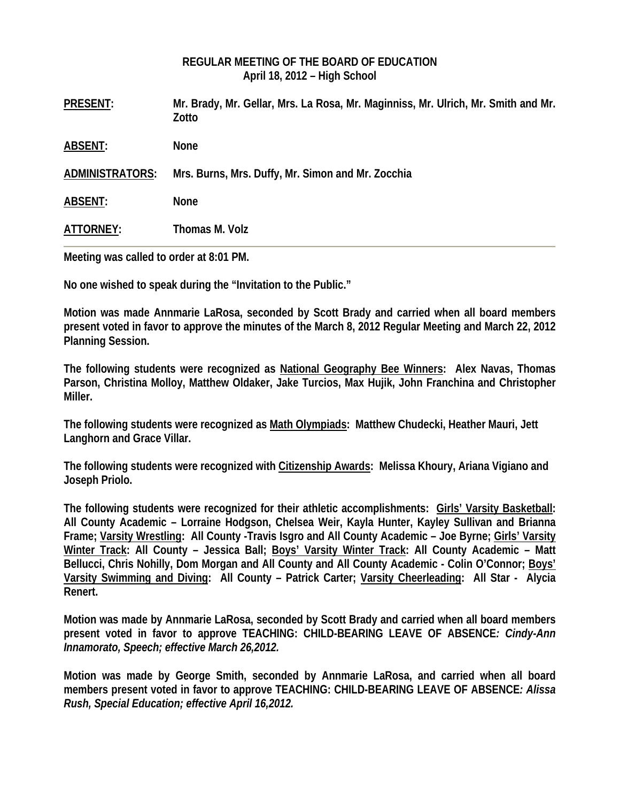### **REGULAR MEETING OF THE BOARD OF EDUCATION April 18, 2012 – High School**

| <b>PRESENT:</b>        | Mr. Brady, Mr. Gellar, Mrs. La Rosa, Mr. Maginniss, Mr. Ulrich, Mr. Smith and Mr.<br>Zotto |
|------------------------|--------------------------------------------------------------------------------------------|
| <b>ABSENT:</b>         | <b>None</b>                                                                                |
| <b>ADMINISTRATORS:</b> | Mrs. Burns, Mrs. Duffy, Mr. Simon and Mr. Zocchia                                          |
| <b>ABSENT:</b>         | <b>None</b>                                                                                |
| ATTORNEY:              | Thomas M. Volz                                                                             |

**Meeting was called to order at 8:01 PM.** 

**No one wished to speak during the "Invitation to the Public."** 

**Motion was made Annmarie LaRosa, seconded by Scott Brady and carried when all board members present voted in favor to approve the minutes of the March 8, 2012 Regular Meeting and March 22, 2012 Planning Session.** 

**The following students were recognized as National Geography Bee Winners: Alex Navas, Thomas Parson, Christina Molloy, Matthew Oldaker, Jake Turcios, Max Hujik, John Franchina and Christopher Miller.** 

**The following students were recognized as Math Olympiads: Matthew Chudecki, Heather Mauri, Jett Langhorn and Grace Villar.** 

**The following students were recognized with Citizenship Awards: Melissa Khoury, Ariana Vigiano and Joseph Priolo.**

**The following students were recognized for their athletic accomplishments: Girls' Varsity Basketball: All County Academic – Lorraine Hodgson, Chelsea Weir, Kayla Hunter, Kayley Sullivan and Brianna Frame; Varsity Wrestling: All County -Travis Isgro and All County Academic – Joe Byrne; Girls' Varsity Winter Track: All County – Jessica Ball; Boys' Varsity Winter Track: All County Academic – Matt Bellucci, Chris Nohilly, Dom Morgan and All County and All County Academic - Colin O'Connor; Boys' Varsity Swimming and Diving: All County – Patrick Carter; Varsity Cheerleading: All Star - Alycia Renert.** 

**Motion was made by Annmarie LaRosa, seconded by Scott Brady and carried when all board members present voted in favor to approve TEACHING: CHILD-BEARING LEAVE OF ABSENCE***: Cindy-Ann Innamorato, Speech; effective March 26,2012.* 

**Motion was made by George Smith, seconded by Annmarie LaRosa, and carried when all board members present voted in favor to approve TEACHING: CHILD-BEARING LEAVE OF ABSENCE***: Alissa Rush, Special Education; effective April 16,2012.*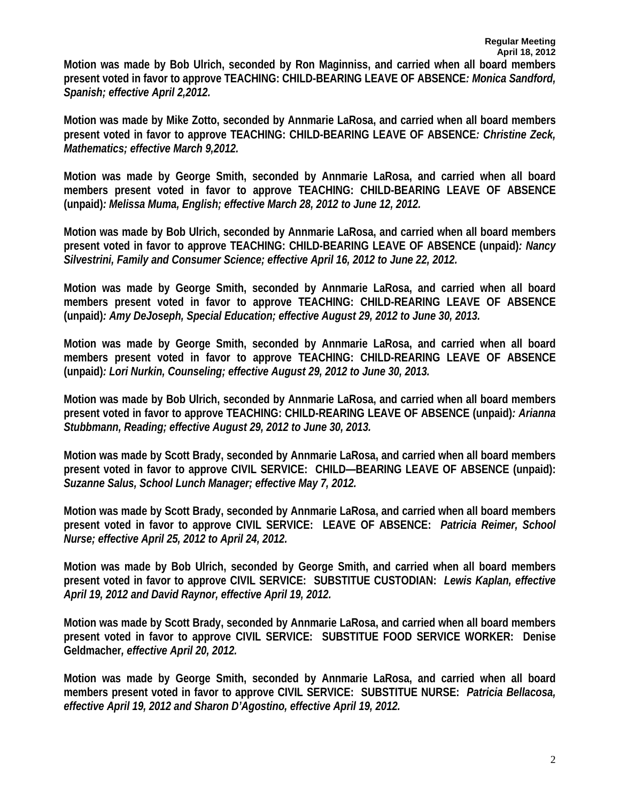**Motion was made by Bob Ulrich, seconded by Ron Maginniss, and carried when all board members present voted in favor to approve TEACHING: CHILD-BEARING LEAVE OF ABSENCE***: Monica Sandford, Spanish; effective April 2,2012.* 

**Motion was made by Mike Zotto, seconded by Annmarie LaRosa, and carried when all board members present voted in favor to approve TEACHING: CHILD-BEARING LEAVE OF ABSENCE***: Christine Zeck, Mathematics; effective March 9,2012.* 

**Motion was made by George Smith, seconded by Annmarie LaRosa, and carried when all board members present voted in favor to approve TEACHING: CHILD-BEARING LEAVE OF ABSENCE (unpaid)***: Melissa Muma, English; effective March 28, 2012 to June 12, 2012.* 

**Motion was made by Bob Ulrich, seconded by Annmarie LaRosa, and carried when all board members present voted in favor to approve TEACHING: CHILD-BEARING LEAVE OF ABSENCE (unpaid)***: Nancy Silvestrini, Family and Consumer Science; effective April 16, 2012 to June 22, 2012.* 

**Motion was made by George Smith, seconded by Annmarie LaRosa, and carried when all board members present voted in favor to approve TEACHING: CHILD-REARING LEAVE OF ABSENCE (unpaid)***: Amy DeJoseph, Special Education; effective August 29, 2012 to June 30, 2013.* 

**Motion was made by George Smith, seconded by Annmarie LaRosa, and carried when all board members present voted in favor to approve TEACHING: CHILD-REARING LEAVE OF ABSENCE (unpaid)***: Lori Nurkin, Counseling; effective August 29, 2012 to June 30, 2013.* 

**Motion was made by Bob Ulrich, seconded by Annmarie LaRosa, and carried when all board members present voted in favor to approve TEACHING: CHILD-REARING LEAVE OF ABSENCE (unpaid)***: Arianna Stubbmann, Reading; effective August 29, 2012 to June 30, 2013.* 

**Motion was made by Scott Brady, seconded by Annmarie LaRosa, and carried when all board members present voted in favor to approve CIVIL SERVICE: CHILD—BEARING LEAVE OF ABSENCE (unpaid):**  *Suzanne Salus, School Lunch Manager; effective May 7, 2012.* 

**Motion was made by Scott Brady, seconded by Annmarie LaRosa, and carried when all board members present voted in favor to approve CIVIL SERVICE: LEAVE OF ABSENCE:** *Patricia Reimer, School Nurse; effective April 25, 2012 to April 24, 2012.* 

**Motion was made by Bob Ulrich, seconded by George Smith, and carried when all board members present voted in favor to approve CIVIL SERVICE: SUBSTITUE CUSTODIAN:** *Lewis Kaplan, effective April 19, 2012 and David Raynor, effective April 19, 2012.* 

**Motion was made by Scott Brady, seconded by Annmarie LaRosa, and carried when all board members present voted in favor to approve CIVIL SERVICE: SUBSTITUE FOOD SERVICE WORKER: Denise Geldmacher***, effective April 20, 2012.* 

**Motion was made by George Smith, seconded by Annmarie LaRosa, and carried when all board members present voted in favor to approve CIVIL SERVICE: SUBSTITUE NURSE:** *Patricia Bellacosa, effective April 19, 2012 and Sharon D'Agostino, effective April 19, 2012.*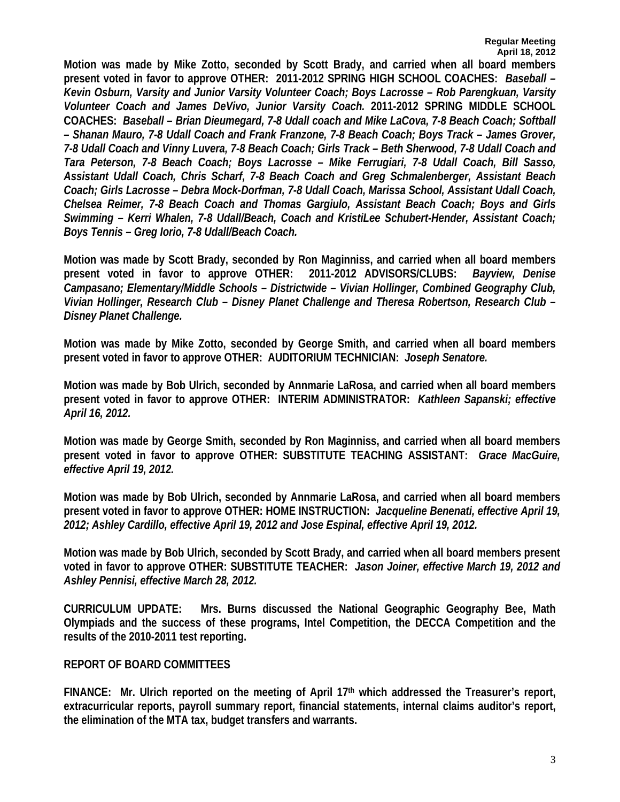**Motion was made by Mike Zotto, seconded by Scott Brady, and carried when all board members present voted in favor to approve OTHER: 2011-2012 SPRING HIGH SCHOOL COACHES:** *Baseball – Kevin Osburn, Varsity and Junior Varsity Volunteer Coach; Boys Lacrosse – Rob Parengkuan, Varsity Volunteer Coach and James DeVivo, Junior Varsity Coach.* **2011-2012 SPRING MIDDLE SCHOOL COACHES:** *Baseball – Brian Dieumegard, 7-8 Udall coach and Mike LaCova, 7-8 Beach Coach; Softball – Shanan Mauro, 7-8 Udall Coach and Frank Franzone, 7-8 Beach Coach; Boys Track – James Grover, 7-8 Udall Coach and Vinny Luvera, 7-8 Beach Coach; Girls Track – Beth Sherwood, 7-8 Udall Coach and Tara Peterson, 7-8 Beach Coach; Boys Lacrosse – Mike Ferrugiari, 7-8 Udall Coach, Bill Sasso, Assistant Udall Coach, Chris Scharf, 7-8 Beach Coach and Greg Schmalenberger, Assistant Beach Coach; Girls Lacrosse – Debra Mock-Dorfman, 7-8 Udall Coach, Marissa School, Assistant Udall Coach, Chelsea Reimer, 7-8 Beach Coach and Thomas Gargiulo, Assistant Beach Coach; Boys and Girls Swimming – Kerri Whalen, 7-8 Udall/Beach, Coach and KristiLee Schubert-Hender, Assistant Coach; Boys Tennis – Greg Iorio, 7-8 Udall/Beach Coach.* 

**Motion was made by Scott Brady, seconded by Ron Maginniss, and carried when all board members present voted in favor to approve OTHER: 2011-2012 ADVISORS/CLUBS:** *Bayview, Denise Campasano; Elementary/Middle Schools – Districtwide – Vivian Hollinger, Combined Geography Club, Vivian Hollinger, Research Club – Disney Planet Challenge and Theresa Robertson, Research Club – Disney Planet Challenge.* 

**Motion was made by Mike Zotto, seconded by George Smith, and carried when all board members present voted in favor to approve OTHER: AUDITORIUM TECHNICIAN:** *Joseph Senatore.* 

**Motion was made by Bob Ulrich, seconded by Annmarie LaRosa, and carried when all board members present voted in favor to approve OTHER: INTERIM ADMINISTRATOR:** *Kathleen Sapanski; effective April 16, 2012.* 

**Motion was made by George Smith, seconded by Ron Maginniss, and carried when all board members present voted in favor to approve OTHER: SUBSTITUTE TEACHING ASSISTANT:** *Grace MacGuire, effective April 19, 2012.* 

**Motion was made by Bob Ulrich, seconded by Annmarie LaRosa, and carried when all board members present voted in favor to approve OTHER: HOME INSTRUCTION:** *Jacqueline Benenati, effective April 19, 2012; Ashley Cardillo, effective April 19, 2012 and Jose Espinal, effective April 19, 2012.* 

**Motion was made by Bob Ulrich, seconded by Scott Brady, and carried when all board members present voted in favor to approve OTHER: SUBSTITUTE TEACHER:** *Jason Joiner, effective March 19, 2012 and Ashley Pennisi, effective March 28, 2012.* 

**CURRICULUM UPDATE: Mrs. Burns discussed the National Geographic Geography Bee, Math Olympiads and the success of these programs, Intel Competition, the DECCA Competition and the results of the 2010-2011 test reporting.** 

### **REPORT OF BOARD COMMITTEES**

**FINANCE: Mr. Ulrich reported on the meeting of April 17th which addressed the Treasurer's report, extracurricular reports, payroll summary report, financial statements, internal claims auditor's report, the elimination of the MTA tax, budget transfers and warrants.**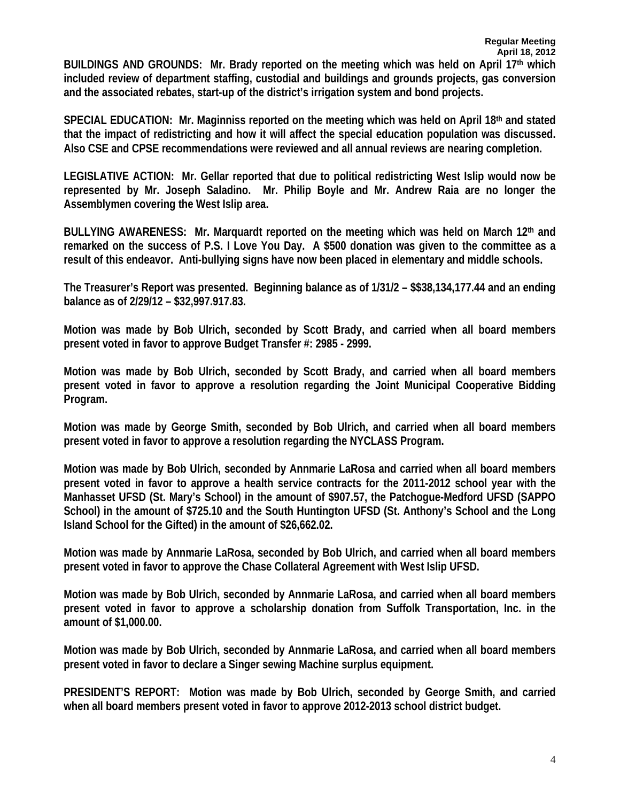**BUILDINGS AND GROUNDS: Mr. Brady reported on the meeting which was held on April 17th which included review of department staffing, custodial and buildings and grounds projects, gas conversion and the associated rebates, start-up of the district's irrigation system and bond projects.** 

**SPECIAL EDUCATION: Mr. Maginniss reported on the meeting which was held on April 18th and stated that the impact of redistricting and how it will affect the special education population was discussed. Also CSE and CPSE recommendations were reviewed and all annual reviews are nearing completion.** 

**LEGISLATIVE ACTION: Mr. Gellar reported that due to political redistricting West Islip would now be represented by Mr. Joseph Saladino. Mr. Philip Boyle and Mr. Andrew Raia are no longer the Assemblymen covering the West Islip area.** 

**BULLYING AWARENESS: Mr. Marquardt reported on the meeting which was held on March 12th and remarked on the success of P.S. I Love You Day. A \$500 donation was given to the committee as a result of this endeavor. Anti-bullying signs have now been placed in elementary and middle schools.** 

**The Treasurer's Report was presented. Beginning balance as of 1/31/2 – \$\$38,134,177.44 and an ending balance as of 2/29/12 – \$32,997.917.83.** 

**Motion was made by Bob Ulrich, seconded by Scott Brady, and carried when all board members present voted in favor to approve Budget Transfer #: 2985 - 2999.** 

**Motion was made by Bob Ulrich, seconded by Scott Brady, and carried when all board members present voted in favor to approve a resolution regarding the Joint Municipal Cooperative Bidding Program.** 

**Motion was made by George Smith, seconded by Bob Ulrich, and carried when all board members present voted in favor to approve a resolution regarding the NYCLASS Program.** 

**Motion was made by Bob Ulrich, seconded by Annmarie LaRosa and carried when all board members present voted in favor to approve a health service contracts for the 2011-2012 school year with the Manhasset UFSD (St. Mary's School) in the amount of \$907.57, the Patchogue-Medford UFSD (SAPPO School) in the amount of \$725.10 and the South Huntington UFSD (St. Anthony's School and the Long Island School for the Gifted) in the amount of \$26,662.02.** 

**Motion was made by Annmarie LaRosa, seconded by Bob Ulrich, and carried when all board members present voted in favor to approve the Chase Collateral Agreement with West Islip UFSD.** 

**Motion was made by Bob Ulrich, seconded by Annmarie LaRosa, and carried when all board members present voted in favor to approve a scholarship donation from Suffolk Transportation, Inc. in the amount of \$1,000.00.** 

**Motion was made by Bob Ulrich, seconded by Annmarie LaRosa, and carried when all board members present voted in favor to declare a Singer sewing Machine surplus equipment.** 

**PRESIDENT'S REPORT: Motion was made by Bob Ulrich, seconded by George Smith, and carried when all board members present voted in favor to approve 2012-2013 school district budget.**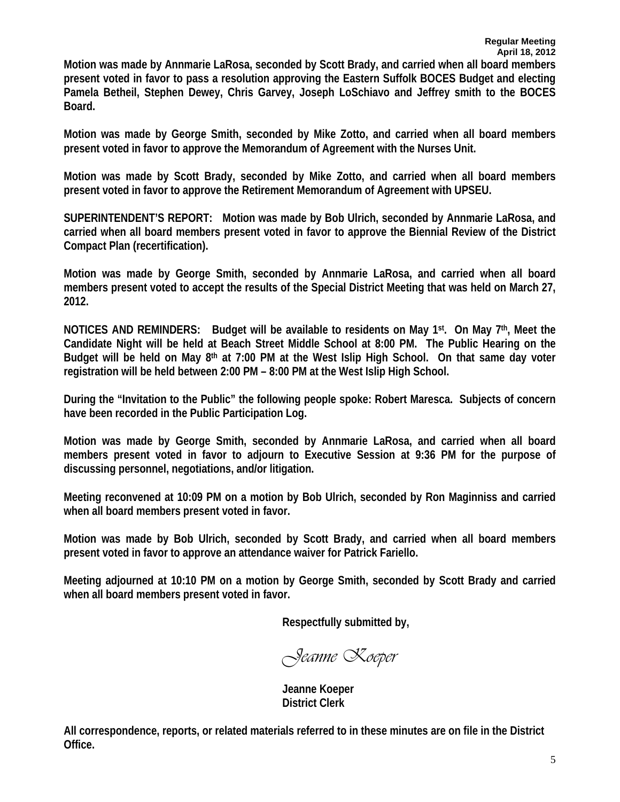**Motion was made by Annmarie LaRosa, seconded by Scott Brady, and carried when all board members present voted in favor to pass a resolution approving the Eastern Suffolk BOCES Budget and electing Pamela Betheil, Stephen Dewey, Chris Garvey, Joseph LoSchiavo and Jeffrey smith to the BOCES Board.** 

**Motion was made by George Smith, seconded by Mike Zotto, and carried when all board members present voted in favor to approve the Memorandum of Agreement with the Nurses Unit.** 

**Motion was made by Scott Brady, seconded by Mike Zotto, and carried when all board members present voted in favor to approve the Retirement Memorandum of Agreement with UPSEU.** 

**SUPERINTENDENT'S REPORT: Motion was made by Bob Ulrich, seconded by Annmarie LaRosa, and carried when all board members present voted in favor to approve the Biennial Review of the District Compact Plan (recertification).** 

**Motion was made by George Smith, seconded by Annmarie LaRosa, and carried when all board members present voted to accept the results of the Special District Meeting that was held on March 27, 2012.** 

**NOTICES AND REMINDERS: Budget will be available to residents on May 1st. On May 7th, Meet the Candidate Night will be held at Beach Street Middle School at 8:00 PM. The Public Hearing on the Budget will be held on May 8th at 7:00 PM at the West Islip High School. On that same day voter registration will be held between 2:00 PM – 8:00 PM at the West Islip High School.** 

**During the "Invitation to the Public" the following people spoke: Robert Maresca. Subjects of concern have been recorded in the Public Participation Log.** 

**Motion was made by George Smith, seconded by Annmarie LaRosa, and carried when all board members present voted in favor to adjourn to Executive Session at 9:36 PM for the purpose of discussing personnel, negotiations, and/or litigation.** 

**Meeting reconvened at 10:09 PM on a motion by Bob Ulrich, seconded by Ron Maginniss and carried when all board members present voted in favor.** 

**Motion was made by Bob Ulrich, seconded by Scott Brady, and carried when all board members present voted in favor to approve an attendance waiver for Patrick Fariello.** 

**Meeting adjourned at 10:10 PM on a motion by George Smith, seconded by Scott Brady and carried when all board members present voted in favor.** 

**Respectfully submitted by,** 

*Jeanne Koeper* 

 **Jeanne Koeper District Clerk** 

**All correspondence, reports, or related materials referred to in these minutes are on file in the District Office.**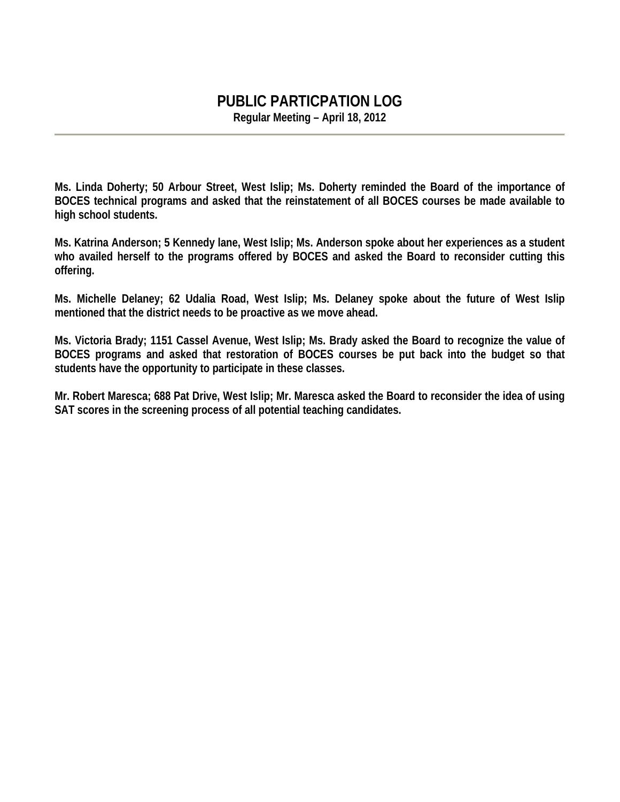# **PUBLIC PARTICPATION LOG**

**Regular Meeting – April 18, 2012** 

**Ms. Linda Doherty; 50 Arbour Street, West Islip; Ms. Doherty reminded the Board of the importance of BOCES technical programs and asked that the reinstatement of all BOCES courses be made available to high school students.** 

**Ms. Katrina Anderson; 5 Kennedy lane, West Islip; Ms. Anderson spoke about her experiences as a student who availed herself to the programs offered by BOCES and asked the Board to reconsider cutting this offering.** 

**Ms. Michelle Delaney; 62 Udalia Road, West Islip; Ms. Delaney spoke about the future of West Islip mentioned that the district needs to be proactive as we move ahead.** 

**Ms. Victoria Brady; 1151 Cassel Avenue, West Islip; Ms. Brady asked the Board to recognize the value of BOCES programs and asked that restoration of BOCES courses be put back into the budget so that students have the opportunity to participate in these classes.** 

**Mr. Robert Maresca; 688 Pat Drive, West Islip; Mr. Maresca asked the Board to reconsider the idea of using SAT scores in the screening process of all potential teaching candidates.**